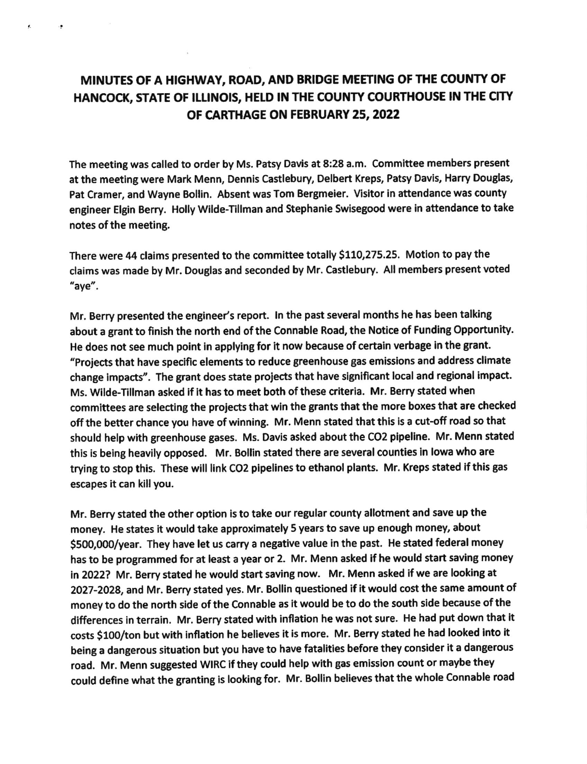## MINUTES OF A HIGHWAY, ROAD, AND BRIDGE MEETING OF THE COUNTY OF HANCOCK, STATE OF ILLINOIS, HELD IN THE COUNTY COURTHOUSE IN THE CITY OF CARTHAGE ON FEBRUARY 25,2022

÷.

The meeting was called to order by Ms. Patsy Davis at 8:28 a.m. Committee members present at the meeting were Mark Menn, Dennis Castlebury, Delbert Kreps, Patsy Davis, Harry Douglas, Pat Cramer, and Wayne Bollin. Absent was Tom Bergmeier. Visitor in attendance was county engineer Elgin Berry. Holly Wilde-Tillman and Stephanie Swisegood were in attendance to take notes of the meeting.

There were 44 claims presented to the committee totally \$110,275.25. Motion to pay the claims was made by Mr. Douglas and seconded by Mr. Castlebury. All members present voted "aye".

Mr. Berry presented the engineer's report. In the past several months he has been talking about a grant to finish the north end of the Connable Road, the Notice of Funding Opportunity. He does not see much point in applying for it now because of certain verbage in the grant. "Projects that have speciflc elements to reduce greenhouse gas emisslons and address climate change impacts". The grant does state projects that have significant local and regional impact. Ms. Wilde-Tillman asked if it has to meet both of these criteria. Mr. Berry stated when committees are selecting the projects that win the grants that the more boxes that are checked off the better chance you have of winning. Mr. Menn stated that this is a cut-off road so that should help with greenhouse gases. Ms. Davis asked about the CO2 pipeline. Mr. Menn stated this is being heavily opposed. Mr. Bollin stated there are several counties in lowa who are trying to stop this. These will link CO2 pipelines to ethanol plants. Mr. Kreps stated if this gas escapes it can klll you.

Mr. Berry stated the other option is to take our regular county allotment and save up the money. He states it would take approximately 5 years to save up enough money, about \$500,000/year. They have let us carry a negative value in the past. He stated federal money has to be programmed for at least a year or 2. Mr. Menn asked if he would start saving money ln 2O22? Mr. Berry stated he would start saving now. Mr. Menn asked if we are looklng at 2O27-2OZA, and Mr. Beny stated yes. Mr. Bollln questioned if it would cost the same amount of money to do the north side of the Connable as it would be to do the south side because of the differences in terrain. Mr. Berry stated with inflation he was not sure. He had put down that it costs \$100/ton but with inflation he believes it is more. Mr. Berry stated he had looked into it being a dangerous situation but you have to have fatalities before they consider it a dangerous road. Mr. Menn suggested WIRC if they could help with gas emission count or maybe they could define what the granting is looking for. Mr. Bollin believes that the whole Connable road